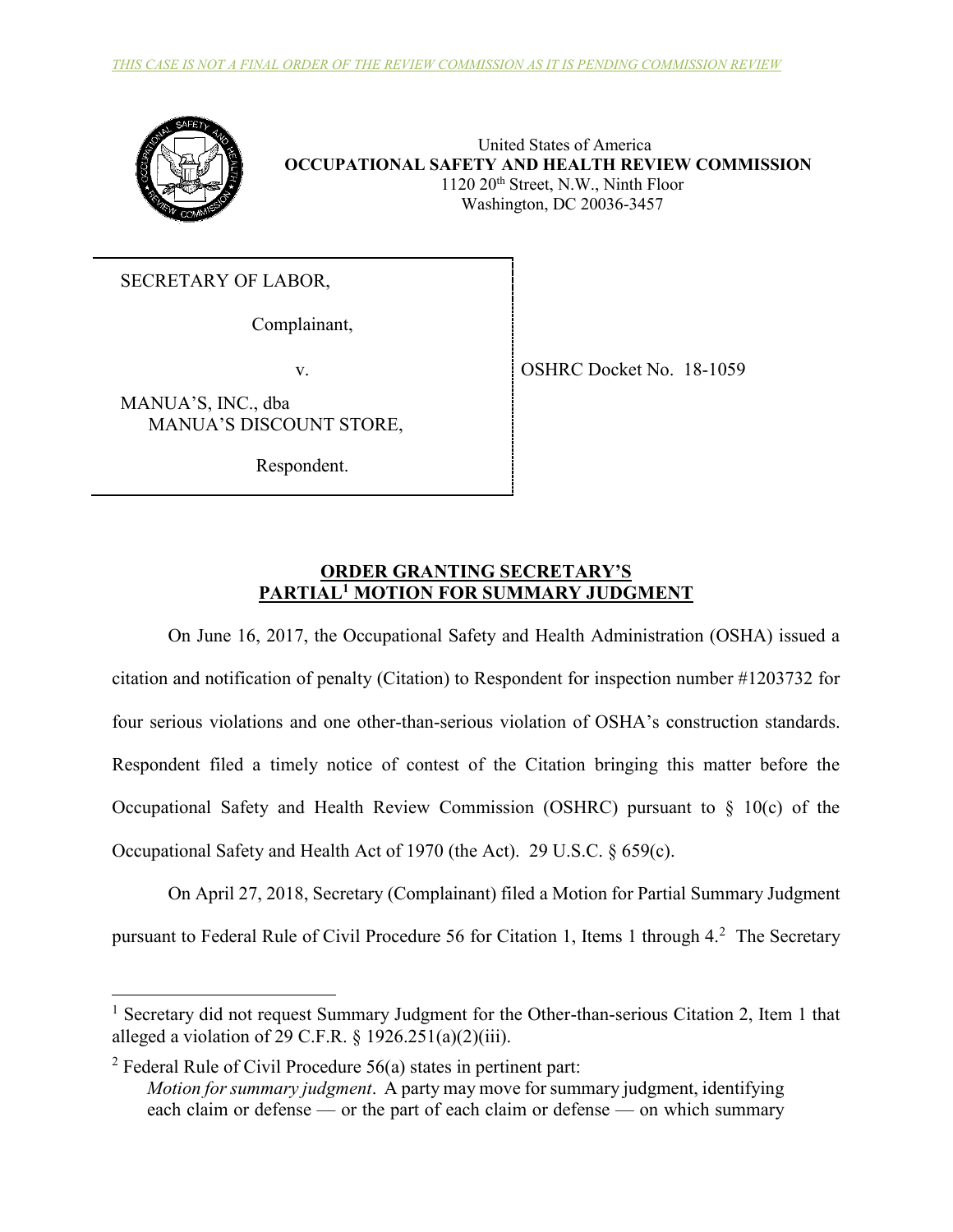

United States of America **OCCUPATIONAL SAFETY AND HEALTH REVIEW COMMISSION** 1120 20<sup>th</sup> Street, N.W., Ninth Floor Washington, DC 20036-3457

SECRETARY OF LABOR,

Complainant,

MANUA'S, INC., dba MANUA'S DISCOUNT STORE,

Respondent.

v. Solution of the Solution of the OSHRC Docket No. 18-1059

# **ORDER GRANTING SECRETARY'S PARTIAL<sup>1</sup> MOTION FOR SUMMARY JUDGMENT**

On June 16, 2017, the Occupational Safety and Health Administration (OSHA) issued a citation and notification of penalty (Citation) to Respondent for inspection number #1203732 for four serious violations and one other-than-serious violation of OSHA's construction standards. Respondent filed a timely notice of contest of the Citation bringing this matter before the Occupational Safety and Health Review Commission (OSHRC) pursuant to § 10(c) of the Occupational Safety and Health Act of 1970 (the Act). 29 U.S.C. § 659(c).

On April 27, 2018, Secretary (Complainant) filed a Motion for Partial Summary Judgment pursuant to Federal Rule of Civil Procedure 56 for Citation 1, Items 1 through 4.<sup>2</sup> The Secretary

<sup>&</sup>lt;sup>1</sup> Secretary did not request Summary Judgment for the Other-than-serious Citation 2, Item 1 that alleged a violation of 29 C.F.R.  $\frac{1926.251(a)(2)(iii)}{20}$ .

<sup>&</sup>lt;sup>2</sup> Federal Rule of Civil Procedure  $56(a)$  states in pertinent part: *Motion for summary judgment*. A party may move for summary judgment, identifying each claim or defense — or the part of each claim or defense — on which summary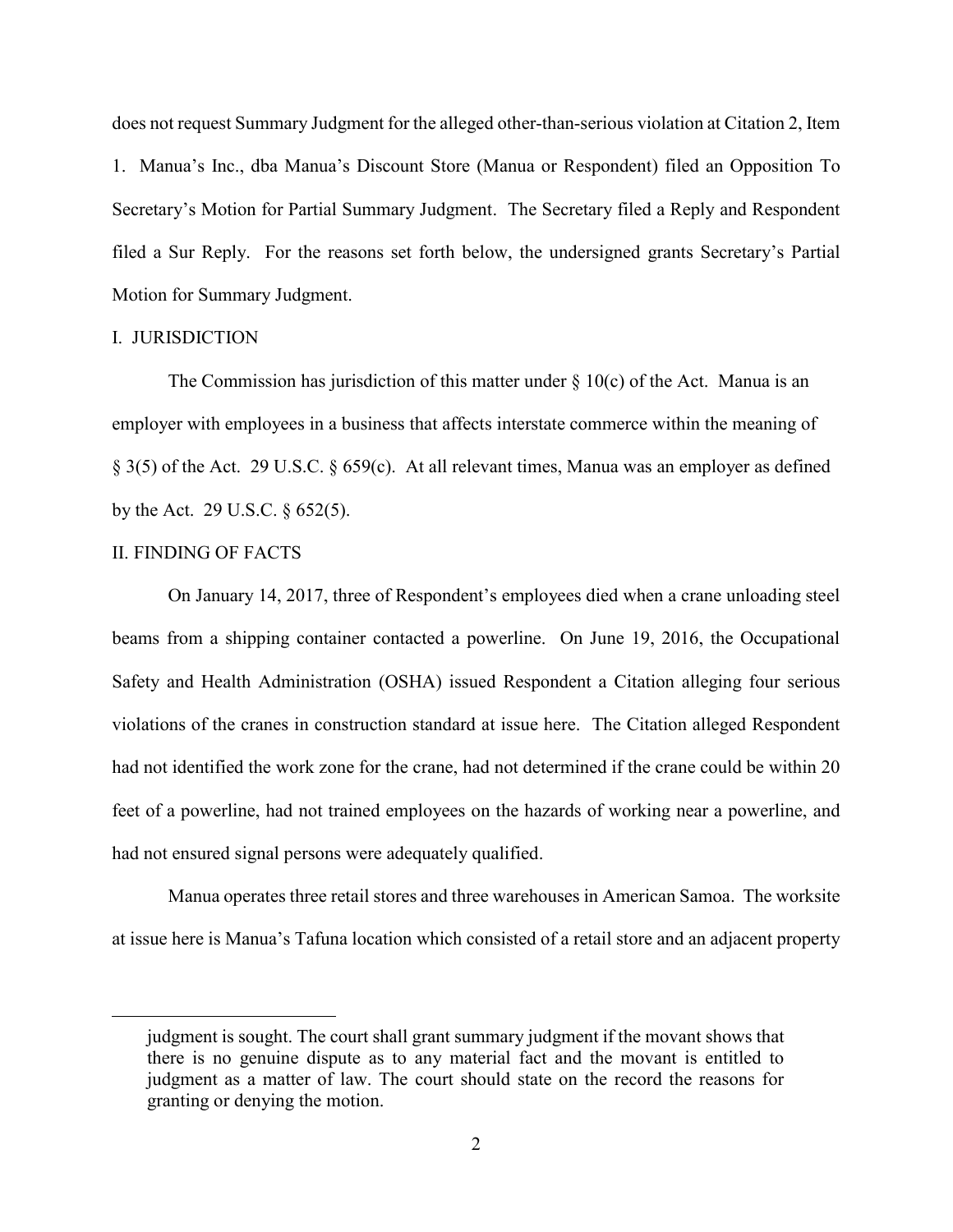does not request Summary Judgment for the alleged other-than-serious violation at Citation 2, Item 1. Manua's Inc., dba Manua's Discount Store (Manua or Respondent) filed an Opposition To Secretary's Motion for Partial Summary Judgment. The Secretary filed a Reply and Respondent filed a Sur Reply. For the reasons set forth below, the undersigned grants Secretary's Partial Motion for Summary Judgment.

### I. JURISDICTION

The Commission has jurisdiction of this matter under  $\S 10(c)$  of the Act. Manua is an employer with employees in a business that affects interstate commerce within the meaning of § 3(5) of the Act. 29 U.S.C. § 659(c). At all relevant times, Manua was an employer as defined by the Act. 29 U.S.C. § 652(5).

### II. FINDING OF FACTS

 $\overline{a}$ 

On January 14, 2017, three of Respondent's employees died when a crane unloading steel beams from a shipping container contacted a powerline. On June 19, 2016, the Occupational Safety and Health Administration (OSHA) issued Respondent a Citation alleging four serious violations of the cranes in construction standard at issue here. The Citation alleged Respondent had not identified the work zone for the crane, had not determined if the crane could be within 20 feet of a powerline, had not trained employees on the hazards of working near a powerline, and had not ensured signal persons were adequately qualified.

Manua operates three retail stores and three warehouses in American Samoa. The worksite at issue here is Manua's Tafuna location which consisted of a retail store and an adjacent property

judgment is sought. The court shall grant summary judgment if the movant shows that there is no genuine dispute as to any material fact and the movant is entitled to judgment as a matter of law. The court should state on the record the reasons for granting or denying the motion.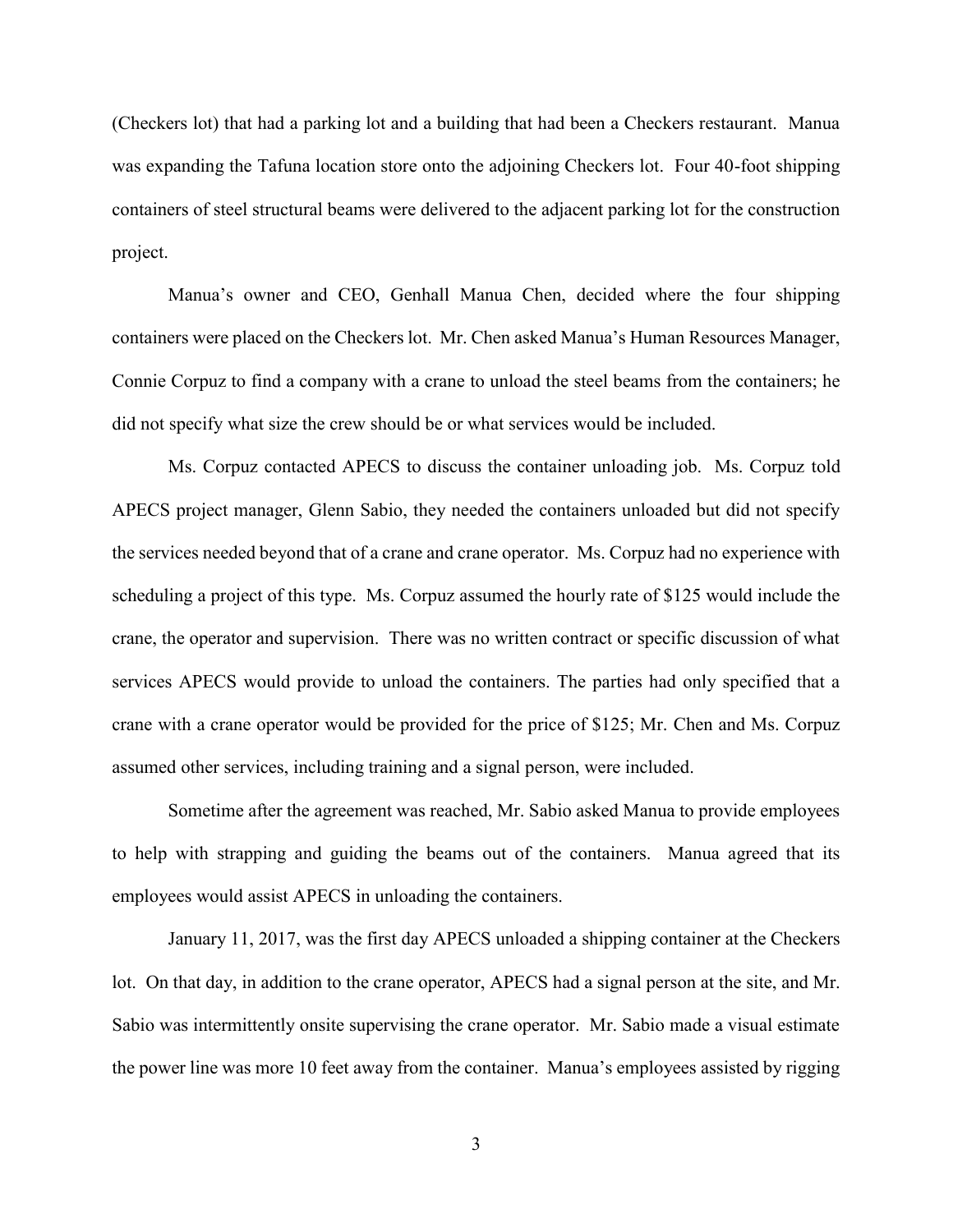(Checkers lot) that had a parking lot and a building that had been a Checkers restaurant. Manua was expanding the Tafuna location store onto the adjoining Checkers lot. Four 40-foot shipping containers of steel structural beams were delivered to the adjacent parking lot for the construction project.

Manua's owner and CEO, Genhall Manua Chen, decided where the four shipping containers were placed on the Checkers lot. Mr. Chen asked Manua's Human Resources Manager, Connie Corpuz to find a company with a crane to unload the steel beams from the containers; he did not specify what size the crew should be or what services would be included.

Ms. Corpuz contacted APECS to discuss the container unloading job. Ms. Corpuz told APECS project manager, Glenn Sabio, they needed the containers unloaded but did not specify the services needed beyond that of a crane and crane operator. Ms. Corpuz had no experience with scheduling a project of this type. Ms. Corpuz assumed the hourly rate of \$125 would include the crane, the operator and supervision. There was no written contract or specific discussion of what services APECS would provide to unload the containers. The parties had only specified that a crane with a crane operator would be provided for the price of \$125; Mr. Chen and Ms. Corpuz assumed other services, including training and a signal person, were included.

Sometime after the agreement was reached, Mr. Sabio asked Manua to provide employees to help with strapping and guiding the beams out of the containers. Manua agreed that its employees would assist APECS in unloading the containers.

January 11, 2017, was the first day APECS unloaded a shipping container at the Checkers lot. On that day, in addition to the crane operator, APECS had a signal person at the site, and Mr. Sabio was intermittently onsite supervising the crane operator. Mr. Sabio made a visual estimate the power line was more 10 feet away from the container. Manua's employees assisted by rigging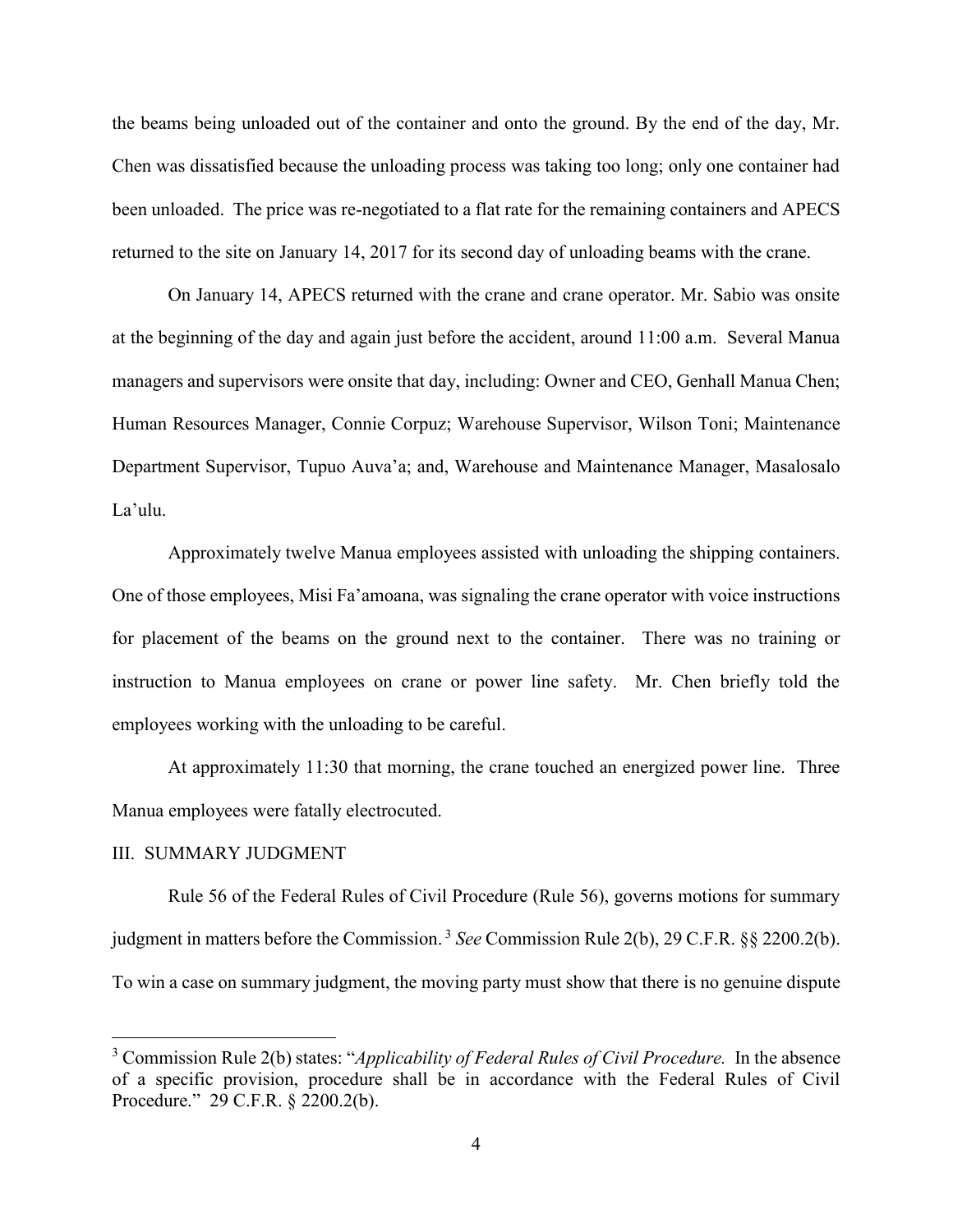the beams being unloaded out of the container and onto the ground. By the end of the day, Mr. Chen was dissatisfied because the unloading process was taking too long; only one container had been unloaded. The price was re-negotiated to a flat rate for the remaining containers and APECS returned to the site on January 14, 2017 for its second day of unloading beams with the crane.

On January 14, APECS returned with the crane and crane operator. Mr. Sabio was onsite at the beginning of the day and again just before the accident, around 11:00 a.m. Several Manua managers and supervisors were onsite that day, including: Owner and CEO, Genhall Manua Chen; Human Resources Manager, Connie Corpuz; Warehouse Supervisor, Wilson Toni; Maintenance Department Supervisor, Tupuo Auva'a; and, Warehouse and Maintenance Manager, Masalosalo La'ulu.

Approximately twelve Manua employees assisted with unloading the shipping containers. One of those employees, Misi Fa'amoana, was signaling the crane operator with voice instructions for placement of the beams on the ground next to the container. There was no training or instruction to Manua employees on crane or power line safety. Mr. Chen briefly told the employees working with the unloading to be careful.

At approximately 11:30 that morning, the crane touched an energized power line. Three Manua employees were fatally electrocuted.

# III. SUMMARY JUDGMENT

 $\overline{a}$ 

Rule 56 of the Federal Rules of Civil Procedure (Rule 56), governs motions for summary judgment in matters before the Commission. <sup>3</sup> *See* Commission Rule 2(b), 29 C.F.R. §§ 2200.2(b). To win a case on summary judgment, the moving party must show that there is no genuine dispute

<sup>&</sup>lt;sup>3</sup> Commission Rule 2(b) states: "*Applicability of Federal Rules of Civil Procedure*. In the absence of a specific provision, procedure shall be in accordance with the Federal Rules of Civil Procedure." 29 C.F.R. § 2200.2(b).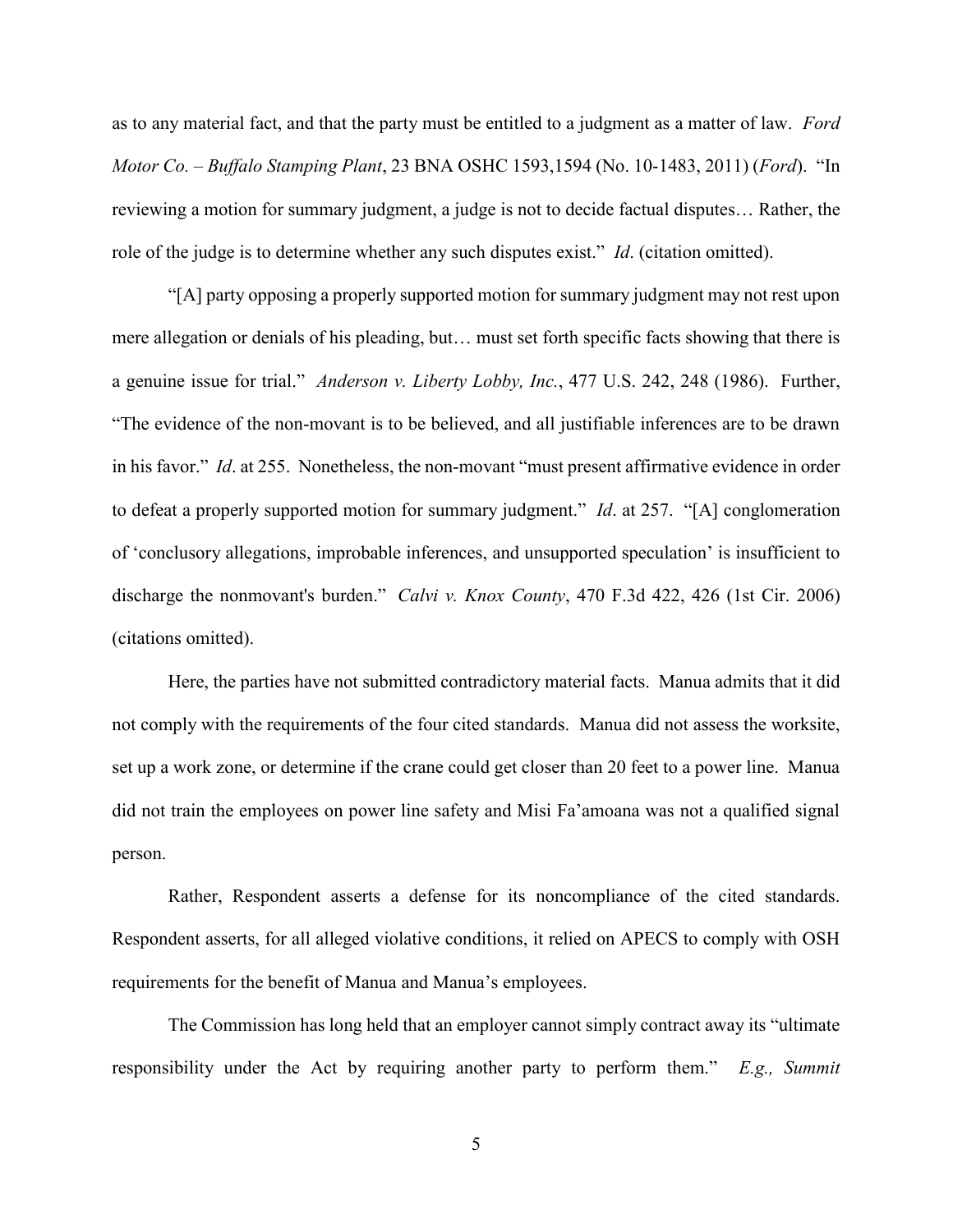as to any material fact, and that the party must be entitled to a judgment as a matter of law. *Ford Motor Co. – Buffalo Stamping Plant*, 23 BNA OSHC 1593,1594 (No. 10-1483, 2011) (*Ford*). "In reviewing a motion for summary judgment, a judge is not to decide factual disputes… Rather, the role of the judge is to determine whether any such disputes exist." *Id*. (citation omitted).

"[A] party opposing a properly supported motion for summary judgment may not rest upon mere allegation or denials of his pleading, but… must set forth specific facts showing that there is a genuine issue for trial." *Anderson v. Liberty Lobby, Inc.*, 477 U.S. 242, 248 (1986). Further, "The evidence of the non-movant is to be believed, and all justifiable inferences are to be drawn in his favor." *Id*. at 255. Nonetheless, the non-movant "must present affirmative evidence in order to defeat a properly supported motion for summary judgment." *Id*. at 257. "[A] conglomeration of 'conclusory allegations, improbable inferences, and unsupported speculation' is insufficient to discharge the nonmovant's burden." *Calvi v. Knox County*, 470 F.3d 422, 426 (1st Cir. 2006) (citations omitted).

Here, the parties have not submitted contradictory material facts. Manua admits that it did not comply with the requirements of the four cited standards. Manua did not assess the worksite, set up a work zone, or determine if the crane could get closer than 20 feet to a power line. Manua did not train the employees on power line safety and Misi Fa'amoana was not a qualified signal person.

Rather, Respondent asserts a defense for its noncompliance of the cited standards. Respondent asserts, for all alleged violative conditions, it relied on APECS to comply with OSH requirements for the benefit of Manua and Manua's employees.

The Commission has long held that an employer cannot simply contract away its "ultimate responsibility under the Act by requiring another party to perform them." *E.g., Summit* 

5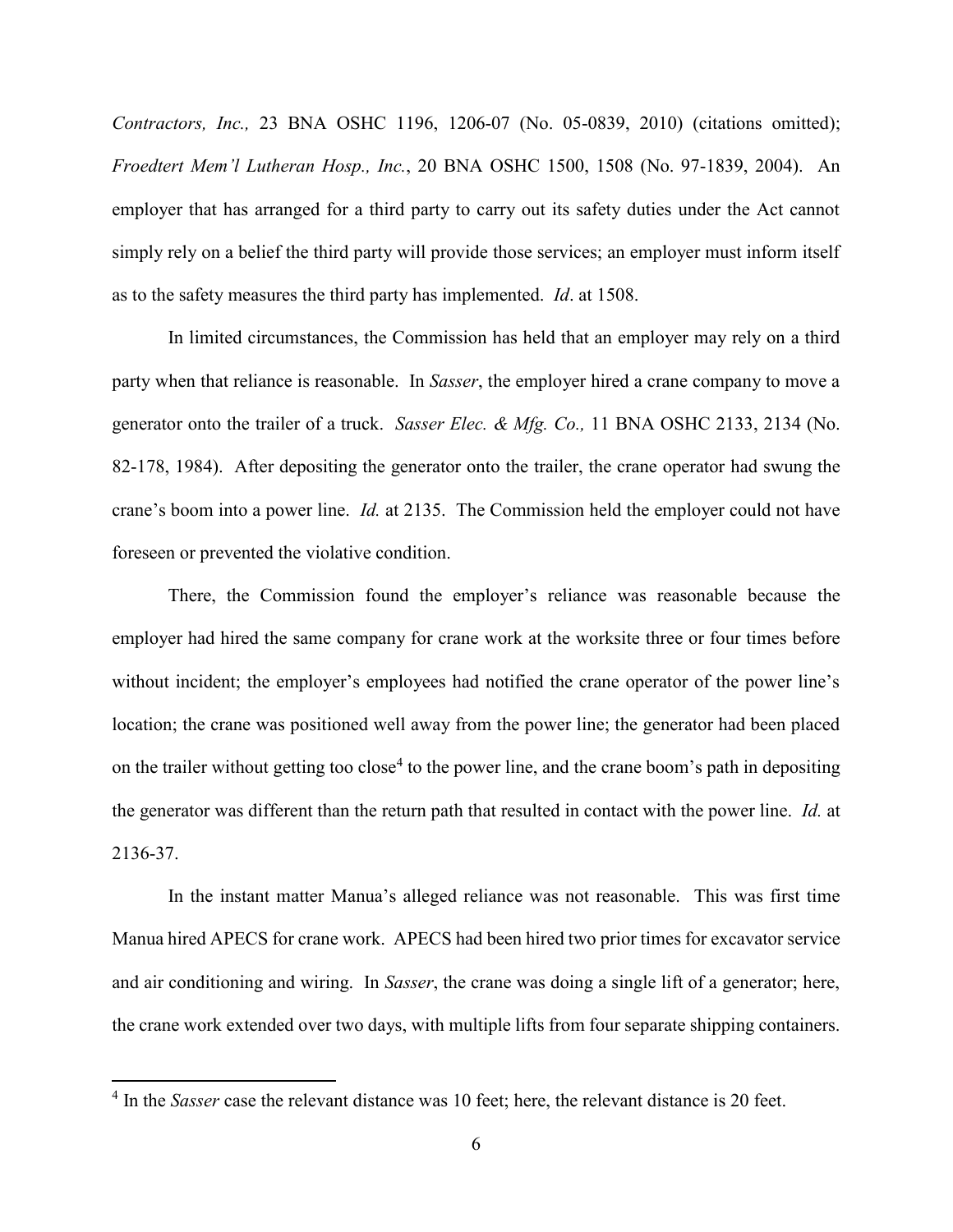*Contractors, Inc.,* 23 BNA OSHC 1196, 1206-07 (No. 05-0839, 2010) (citations omitted); *Froedtert Mem'l Lutheran Hosp., Inc.*, 20 BNA OSHC 1500, 1508 (No. 97-1839, 2004). An employer that has arranged for a third party to carry out its safety duties under the Act cannot simply rely on a belief the third party will provide those services; an employer must inform itself as to the safety measures the third party has implemented. *Id*. at 1508.

In limited circumstances, the Commission has held that an employer may rely on a third party when that reliance is reasonable. In *Sasser*, the employer hired a crane company to move a generator onto the trailer of a truck. *Sasser Elec. & Mfg. Co.,* 11 BNA OSHC 2133, 2134 (No. 82-178, 1984). After depositing the generator onto the trailer, the crane operator had swung the crane's boom into a power line. *Id.* at 2135. The Commission held the employer could not have foreseen or prevented the violative condition.

There, the Commission found the employer's reliance was reasonable because the employer had hired the same company for crane work at the worksite three or four times before without incident; the employer's employees had notified the crane operator of the power line's location; the crane was positioned well away from the power line; the generator had been placed on the trailer without getting too close<sup>4</sup> to the power line, and the crane boom's path in depositing the generator was different than the return path that resulted in contact with the power line. *Id.* at 2136-37.

In the instant matter Manua's alleged reliance was not reasonable. This was first time Manua hired APECS for crane work. APECS had been hired two prior times for excavator service and air conditioning and wiring. In *Sasser*, the crane was doing a single lift of a generator; here, the crane work extended over two days, with multiple lifts from four separate shipping containers.

<sup>&</sup>lt;sup>4</sup> In the *Sasser* case the relevant distance was 10 feet; here, the relevant distance is 20 feet.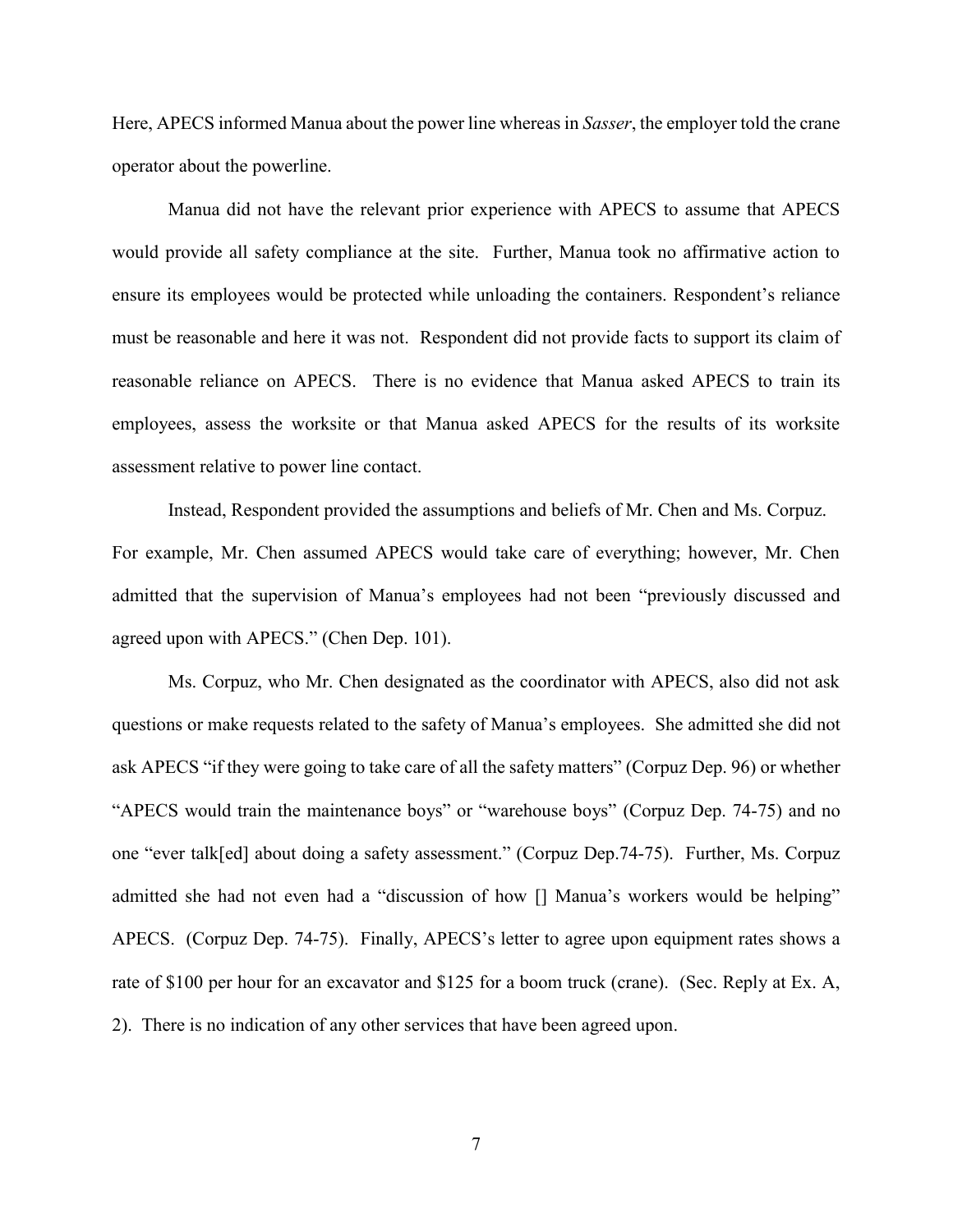Here, APECS informed Manua about the power line whereas in *Sasser*, the employer told the crane operator about the powerline.

Manua did not have the relevant prior experience with APECS to assume that APECS would provide all safety compliance at the site. Further, Manua took no affirmative action to ensure its employees would be protected while unloading the containers. Respondent's reliance must be reasonable and here it was not. Respondent did not provide facts to support its claim of reasonable reliance on APECS. There is no evidence that Manua asked APECS to train its employees, assess the worksite or that Manua asked APECS for the results of its worksite assessment relative to power line contact.

Instead, Respondent provided the assumptions and beliefs of Mr. Chen and Ms. Corpuz. For example, Mr. Chen assumed APECS would take care of everything; however, Mr. Chen admitted that the supervision of Manua's employees had not been "previously discussed and agreed upon with APECS." (Chen Dep. 101).

Ms. Corpuz, who Mr. Chen designated as the coordinator with APECS, also did not ask questions or make requests related to the safety of Manua's employees. She admitted she did not ask APECS "if they were going to take care of all the safety matters" (Corpuz Dep. 96) or whether "APECS would train the maintenance boys" or "warehouse boys" (Corpuz Dep. 74-75) and no one "ever talk[ed] about doing a safety assessment." (Corpuz Dep.74-75). Further, Ms. Corpuz admitted she had not even had a "discussion of how [] Manua's workers would be helping" APECS. (Corpuz Dep. 74-75). Finally, APECS's letter to agree upon equipment rates shows a rate of \$100 per hour for an excavator and \$125 for a boom truck (crane). (Sec. Reply at Ex. A, 2). There is no indication of any other services that have been agreed upon.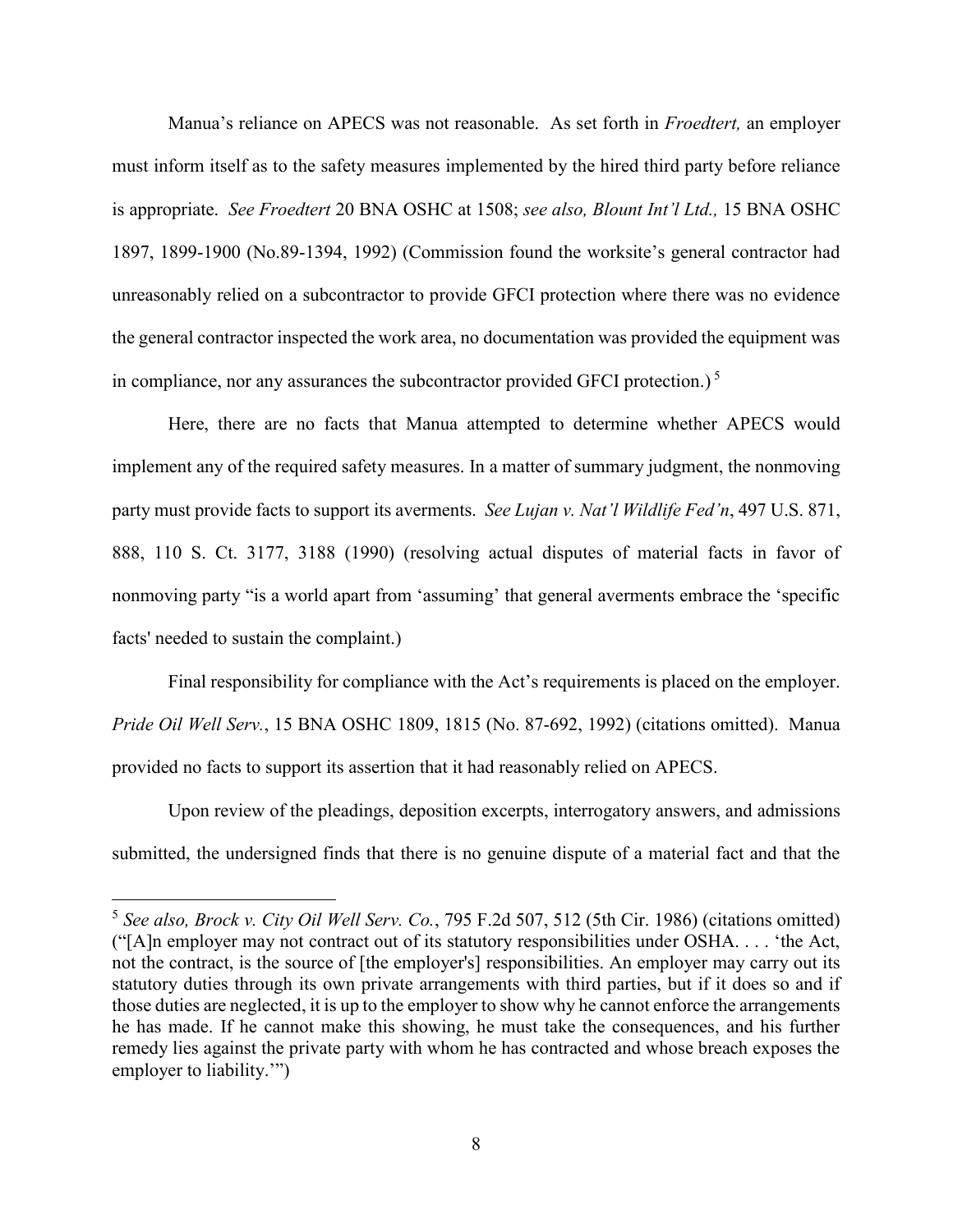Manua's reliance on APECS was not reasonable. As set forth in *Froedtert,* an employer must inform itself as to the safety measures implemented by the hired third party before reliance is appropriate. *See Froedtert* 20 BNA OSHC at 1508; *see also, Blount Int'l Ltd.,* 15 BNA OSHC 1897, 1899-1900 (No.89-1394, 1992) (Commission found the worksite's general contractor had unreasonably relied on a subcontractor to provide GFCI protection where there was no evidence the general contractor inspected the work area, no documentation was provided the equipment was in compliance, nor any assurances the subcontractor provided GFCI protection.)<sup>5</sup>

Here, there are no facts that Manua attempted to determine whether APECS would implement any of the required safety measures. In a matter of summary judgment, the nonmoving party must provide facts to support its averments. *See Lujan v. Nat'l Wildlife Fed'n*, 497 U.S. 871, 888, 110 S. Ct. 3177, 3188 (1990) (resolving actual disputes of material facts in favor of nonmoving party "is a world apart from 'assuming' that general averments embrace the 'specific facts' needed to sustain the complaint.)

Final responsibility for compliance with the Act's requirements is placed on the employer. *Pride Oil Well Serv.*, 15 BNA OSHC 1809, 1815 (No. 87-692, 1992) (citations omitted). Manua provided no facts to support its assertion that it had reasonably relied on APECS.

Upon review of the pleadings, deposition excerpts, interrogatory answers, and admissions submitted, the undersigned finds that there is no genuine dispute of a material fact and that the

<sup>5</sup> *See also, Brock v. City Oil Well Serv. Co.*, 795 F.2d 507, 512 (5th Cir. 1986) (citations omitted) ("[A]n employer may not contract out of its statutory responsibilities under OSHA. . . . 'the Act, not the contract, is the source of [the employer's] responsibilities. An employer may carry out its statutory duties through its own private arrangements with third parties, but if it does so and if those duties are neglected, it is up to the employer to show why he cannot enforce the arrangements he has made. If he cannot make this showing, he must take the consequences, and his further remedy lies against the private party with whom he has contracted and whose breach exposes the employer to liability.'")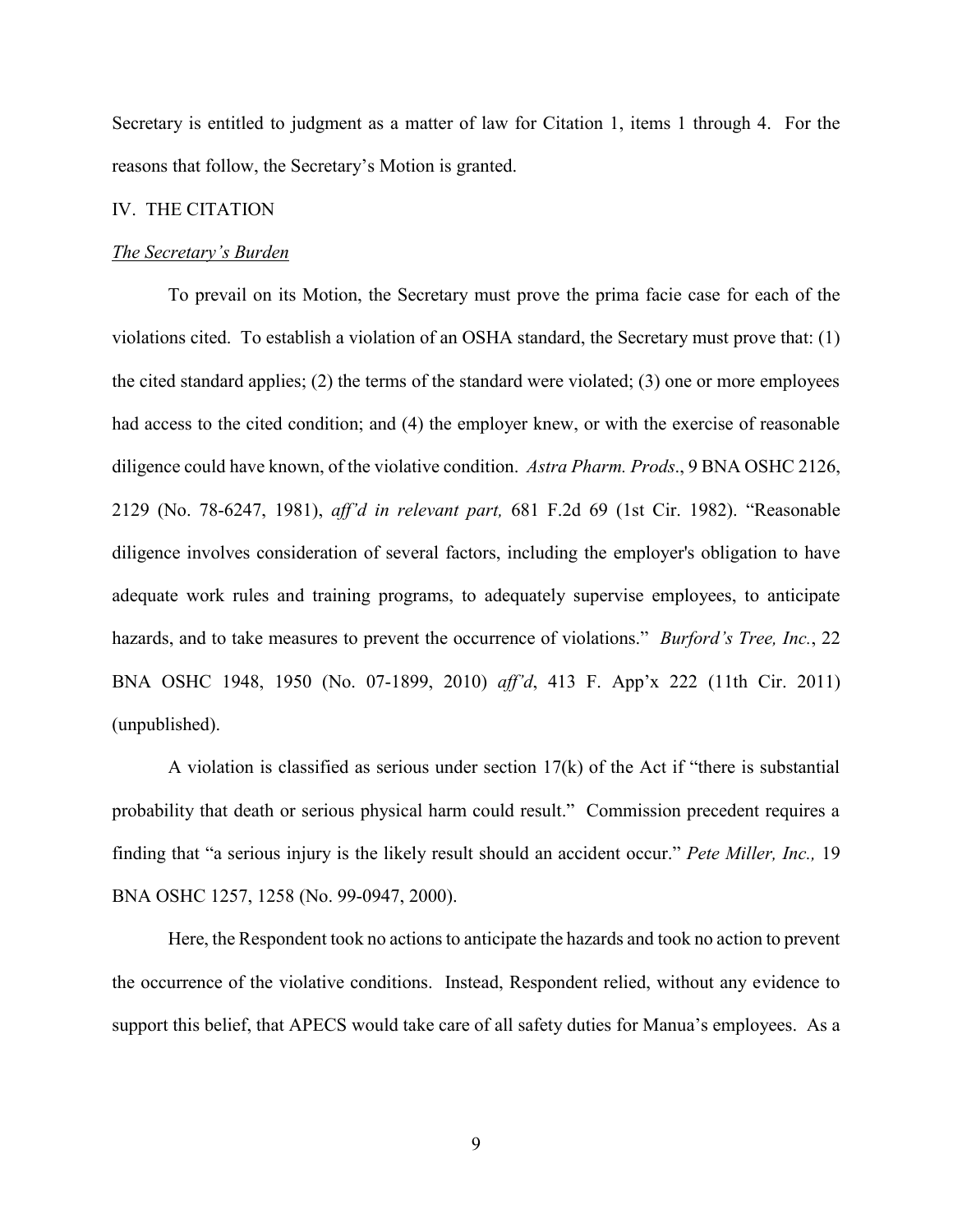Secretary is entitled to judgment as a matter of law for Citation 1, items 1 through 4. For the reasons that follow, the Secretary's Motion is granted.

## IV. THE CITATION

#### *The Secretary's Burden*

To prevail on its Motion, the Secretary must prove the prima facie case for each of the violations cited. To establish a violation of an OSHA standard, the Secretary must prove that: (1) the cited standard applies; (2) the terms of the standard were violated; (3) one or more employees had access to the cited condition; and (4) the employer knew, or with the exercise of reasonable diligence could have known, of the violative condition. *Astra Pharm. Prods*., 9 BNA OSHC 2126, 2129 (No. 78-6247, 1981), *aff'd in relevant part,* 681 F.2d 69 (1st Cir. 1982). "Reasonable diligence involves consideration of several factors, including the employer's obligation to have adequate work rules and training programs, to adequately supervise employees, to anticipate hazards, and to take measures to prevent the occurrence of violations." *Burford's Tree, Inc.*, 22 BNA OSHC 1948, 1950 (No. 07-1899, 2010) *aff'd*, 413 F. App'x 222 (11th Cir. 2011) (unpublished).

A violation is classified as serious under section 17(k) of the Act if "there is substantial probability that death or serious physical harm could result." Commission precedent requires a finding that "a serious injury is the likely result should an accident occur." *Pete Miller, Inc.,* 19 BNA OSHC 1257, 1258 (No. 99-0947, 2000).

Here, the Respondent took no actions to anticipate the hazards and took no action to prevent the occurrence of the violative conditions. Instead, Respondent relied, without any evidence to support this belief, that APECS would take care of all safety duties for Manua's employees. As a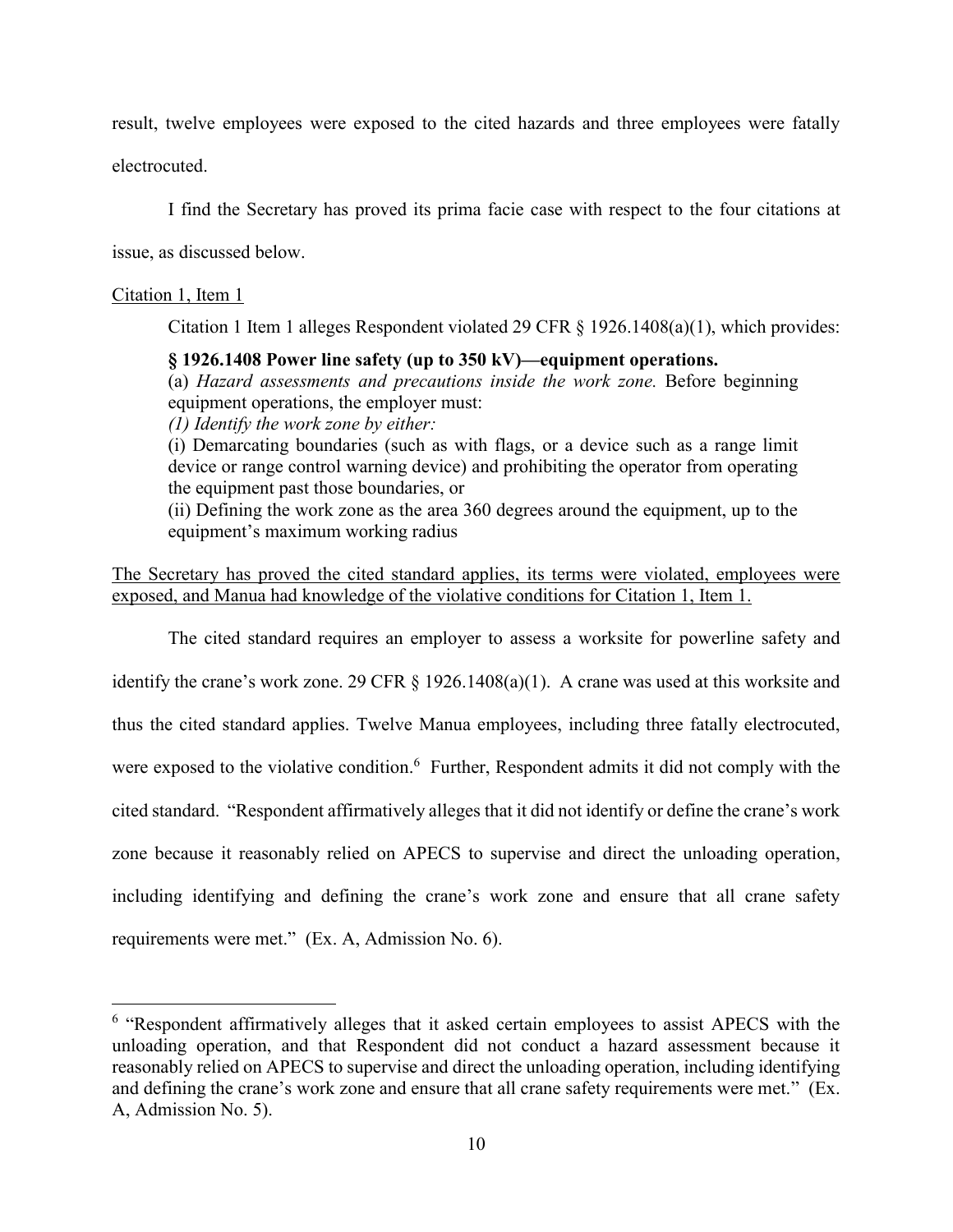result, twelve employees were exposed to the cited hazards and three employees were fatally

electrocuted.

I find the Secretary has proved its prima facie case with respect to the four citations at

issue, as discussed below.

## Citation 1, Item 1

 $\overline{a}$ 

Citation 1 Item 1 alleges Respondent violated 29 CFR  $\S$  1926.1408(a)(1), which provides:

# **§ 1926.1408 Power line safety (up to 350 kV)—equipment operations.**

(a) *Hazard assessments and precautions inside the work zone.* Before beginning equipment operations, the employer must:

*(1) Identify the work zone by either:*

(i) Demarcating boundaries (such as with flags, or a device such as a range limit device or range control warning device) and prohibiting the operator from operating the equipment past those boundaries, or

(ii) Defining the work zone as the area 360 degrees around the equipment, up to the equipment's maximum working radius

# The Secretary has proved the cited standard applies, its terms were violated, employees were exposed, and Manua had knowledge of the violative conditions for Citation 1, Item 1.

The cited standard requires an employer to assess a worksite for powerline safety and identify the crane's work zone. 29 CFR § 1926.1408(a)(1). A crane was used at this worksite and thus the cited standard applies. Twelve Manua employees, including three fatally electrocuted, were exposed to the violative condition.<sup>6</sup> Further, Respondent admits it did not comply with the cited standard. "Respondent affirmatively alleges that it did not identify or define the crane's work zone because it reasonably relied on APECS to supervise and direct the unloading operation, including identifying and defining the crane's work zone and ensure that all crane safety requirements were met." (Ex. A, Admission No. 6).

<sup>&</sup>lt;sup>6</sup> "Respondent affirmatively alleges that it asked certain employees to assist APECS with the unloading operation, and that Respondent did not conduct a hazard assessment because it reasonably relied on APECS to supervise and direct the unloading operation, including identifying and defining the crane's work zone and ensure that all crane safety requirements were met." (Ex. A, Admission No. 5).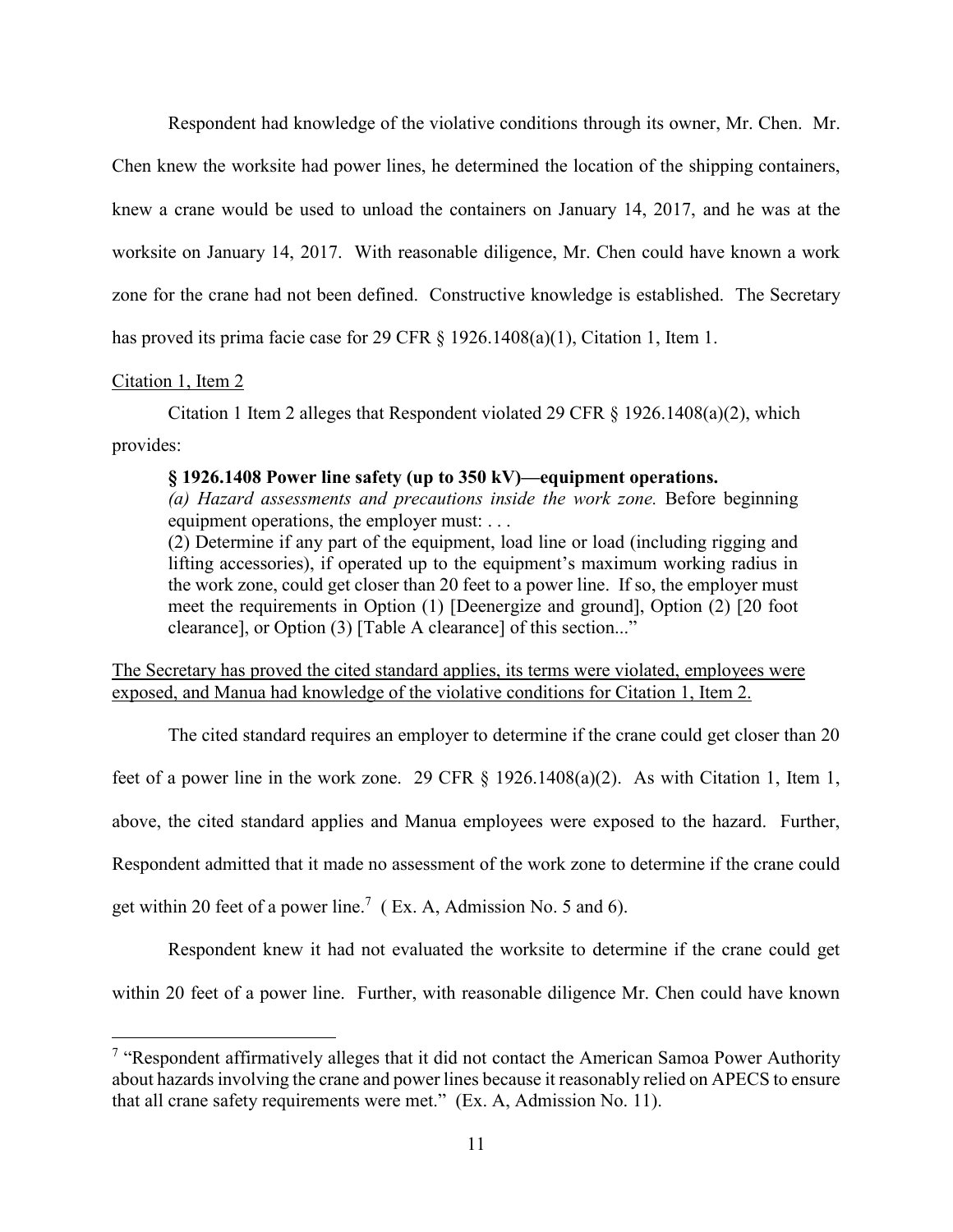Respondent had knowledge of the violative conditions through its owner, Mr. Chen. Mr.

Chen knew the worksite had power lines, he determined the location of the shipping containers, knew a crane would be used to unload the containers on January 14, 2017, and he was at the worksite on January 14, 2017. With reasonable diligence, Mr. Chen could have known a work zone for the crane had not been defined. Constructive knowledge is established. The Secretary has proved its prima facie case for 29 CFR § 1926.1408(a)(1), Citation 1, Item 1.

## Citation 1, Item 2

 $\overline{a}$ 

Citation 1 Item 2 alleges that Respondent violated 29 CFR § 1926.1408(a)(2), which provides:

### **§ 1926.1408 Power line safety (up to 350 kV)—equipment operations.**

*(a) Hazard assessments and precautions inside the work zone.* Before beginning equipment operations, the employer must: . . . (2) Determine if any part of the equipment, load line or load (including rigging and

lifting accessories), if operated up to the equipment's maximum working radius in the work zone, could get closer than 20 feet to a power line. If so, the employer must meet the requirements in Option (1) [Deenergize and ground], Option (2) [20 foot clearance], or Option (3) [Table A clearance] of this section..."

The Secretary has proved the cited standard applies, its terms were violated, employees were exposed, and Manua had knowledge of the violative conditions for Citation 1, Item 2.

The cited standard requires an employer to determine if the crane could get closer than 20 feet of a power line in the work zone. 29 CFR § 1926.1408(a)(2). As with Citation 1, Item 1, above, the cited standard applies and Manua employees were exposed to the hazard. Further, Respondent admitted that it made no assessment of the work zone to determine if the crane could get within 20 feet of a power line.<sup>7</sup> (Ex. A, Admission No. 5 and 6).

Respondent knew it had not evaluated the worksite to determine if the crane could get within 20 feet of a power line. Further, with reasonable diligence Mr. Chen could have known

<sup>&</sup>lt;sup>7</sup> "Respondent affirmatively alleges that it did not contact the American Samoa Power Authority about hazards involving the crane and power lines because it reasonably relied on APECS to ensure that all crane safety requirements were met." (Ex. A, Admission No. 11).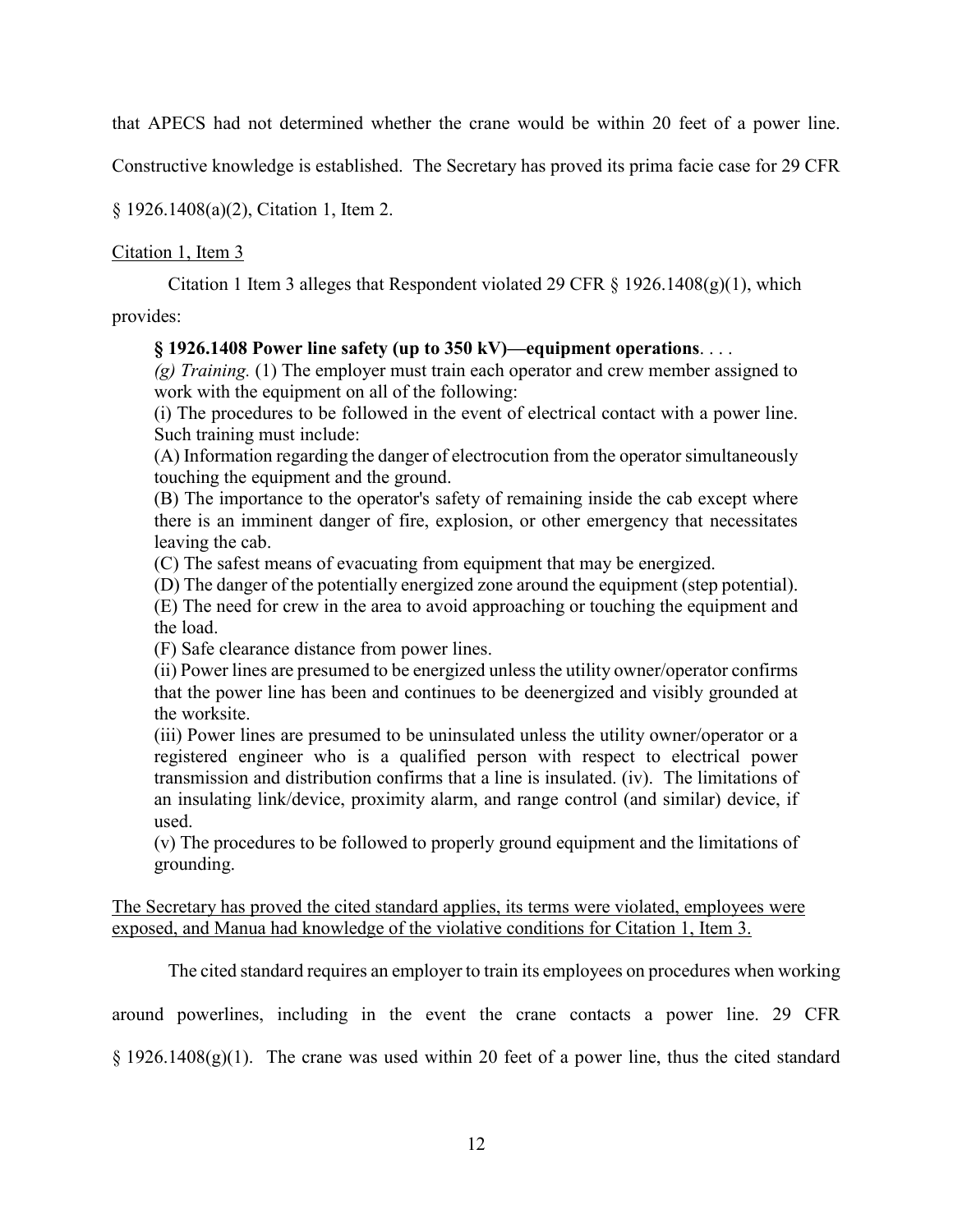that APECS had not determined whether the crane would be within 20 feet of a power line.

Constructive knowledge is established. The Secretary has proved its prima facie case for 29 CFR

§ 1926.1408(a)(2), Citation 1, Item 2.

# Citation 1, Item 3

Citation 1 Item 3 alleges that Respondent violated 29 CFR  $\S$  1926.1408(g)(1), which

provides:

## **§ 1926.1408 Power line safety (up to 350 kV)—equipment operations**. . . .

*(g) Training.* (1) The employer must train each operator and crew member assigned to work with the equipment on all of the following:

(i) The procedures to be followed in the event of electrical contact with a power line. Such training must include:

(A) Information regarding the danger of electrocution from the operator simultaneously touching the equipment and the ground.

(B) The importance to the operator's safety of remaining inside the cab except where there is an imminent danger of fire, explosion, or other emergency that necessitates leaving the cab.

(C) The safest means of evacuating from equipment that may be energized.

(D) The danger of the potentially energized zone around the equipment (step potential).

(E) The need for crew in the area to avoid approaching or touching the equipment and the load.

(F) Safe clearance distance from power lines.

(ii) Power lines are presumed to be energized unless the utility owner/operator confirms that the power line has been and continues to be deenergized and visibly grounded at the worksite.

(iii) Power lines are presumed to be uninsulated unless the utility owner/operator or a registered engineer who is a qualified person with respect to electrical power transmission and distribution confirms that a line is insulated. (iv). The limitations of an insulating link/device, proximity alarm, and range control (and similar) device, if used.

(v) The procedures to be followed to properly ground equipment and the limitations of grounding.

The Secretary has proved the cited standard applies, its terms were violated, employees were exposed, and Manua had knowledge of the violative conditions for Citation 1, Item 3.

The cited standard requires an employer to train its employees on procedures when working

around powerlines, including in the event the crane contacts a power line. 29 CFR

 $\S$  1926.1408(g)(1). The crane was used within 20 feet of a power line, thus the cited standard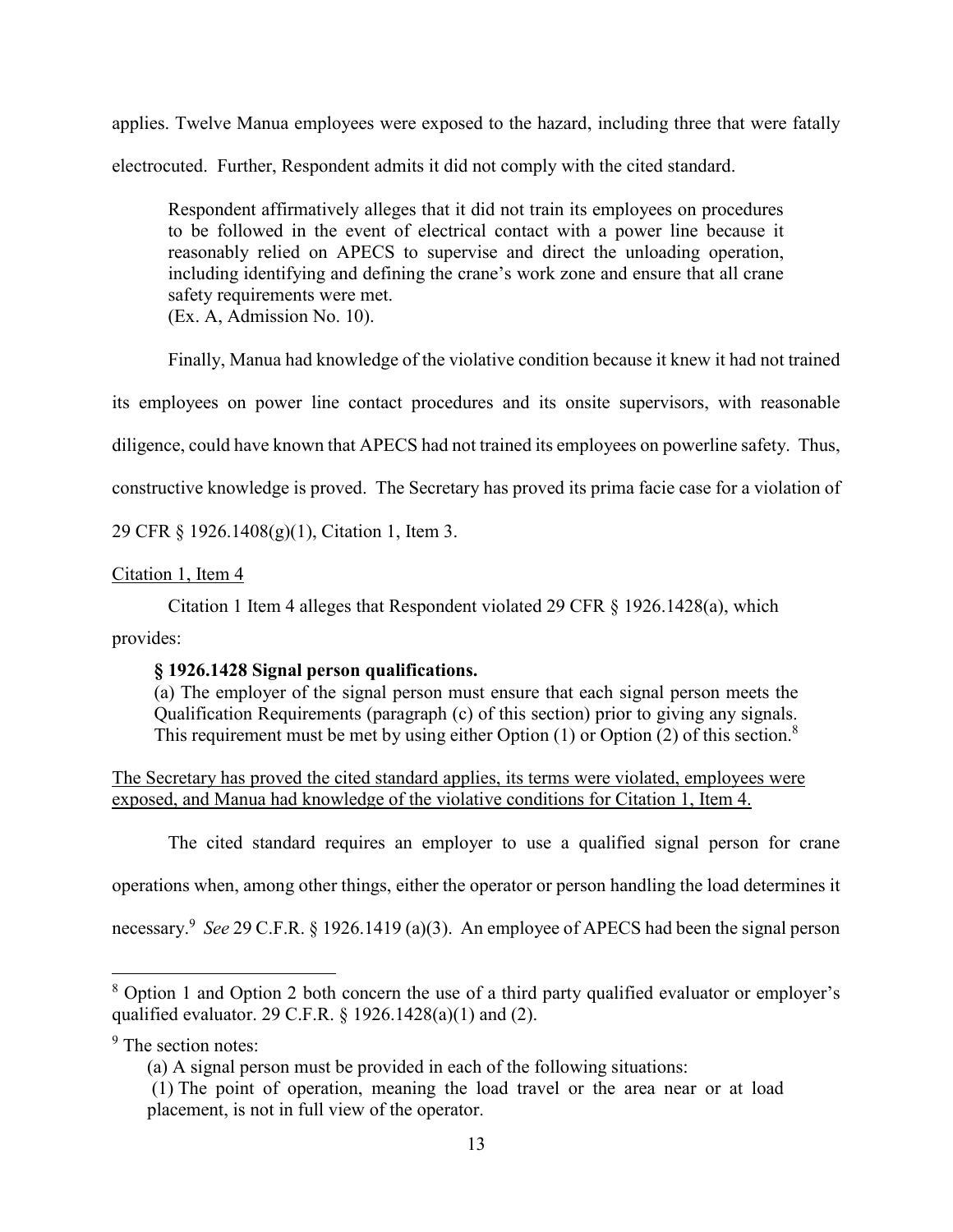applies. Twelve Manua employees were exposed to the hazard, including three that were fatally electrocuted. Further, Respondent admits it did not comply with the cited standard.

Respondent affirmatively alleges that it did not train its employees on procedures to be followed in the event of electrical contact with a power line because it reasonably relied on APECS to supervise and direct the unloading operation, including identifying and defining the crane's work zone and ensure that all crane safety requirements were met.

(Ex. A, Admission No. 10).

Finally, Manua had knowledge of the violative condition because it knew it had not trained

its employees on power line contact procedures and its onsite supervisors, with reasonable

diligence, could have known that APECS had not trained its employees on powerline safety. Thus,

constructive knowledge is proved. The Secretary has proved its prima facie case for a violation of

29 CFR § 1926.1408(g)(1), Citation 1, Item 3.

# Citation 1, Item 4

Citation 1 Item 4 alleges that Respondent violated 29 CFR § 1926.1428(a), which

provides:

# **§ 1926.1428 Signal person qualifications.**

(a) The employer of the signal person must ensure that each signal person meets the Qualification Requirements (paragraph (c) of this section) prior to giving any signals. This requirement must be met by using either Option  $(1)$  or Option  $(2)$  of this section.<sup>8</sup>

The Secretary has proved the cited standard applies, its terms were violated, employees were exposed, and Manua had knowledge of the violative conditions for Citation 1, Item 4.

The cited standard requires an employer to use a qualified signal person for crane

operations when, among other things, either the operator or person handling the load determines it

necessary.<sup>9</sup> *See* 29 C.F.R. § 1926.1419 (a)(3). An employee of APECS had been the signal person

<sup>9</sup> The section notes:

<sup>8</sup> Option 1 and Option 2 both concern the use of a third party qualified evaluator or employer's qualified evaluator. 29 C.F.R. § 1926.1428(a)(1) and (2).

<sup>(</sup>a) A signal person must be provided in each of the following situations:

<sup>(1)</sup> The point of operation, meaning the load travel or the area near or at load placement, is not in full view of the operator.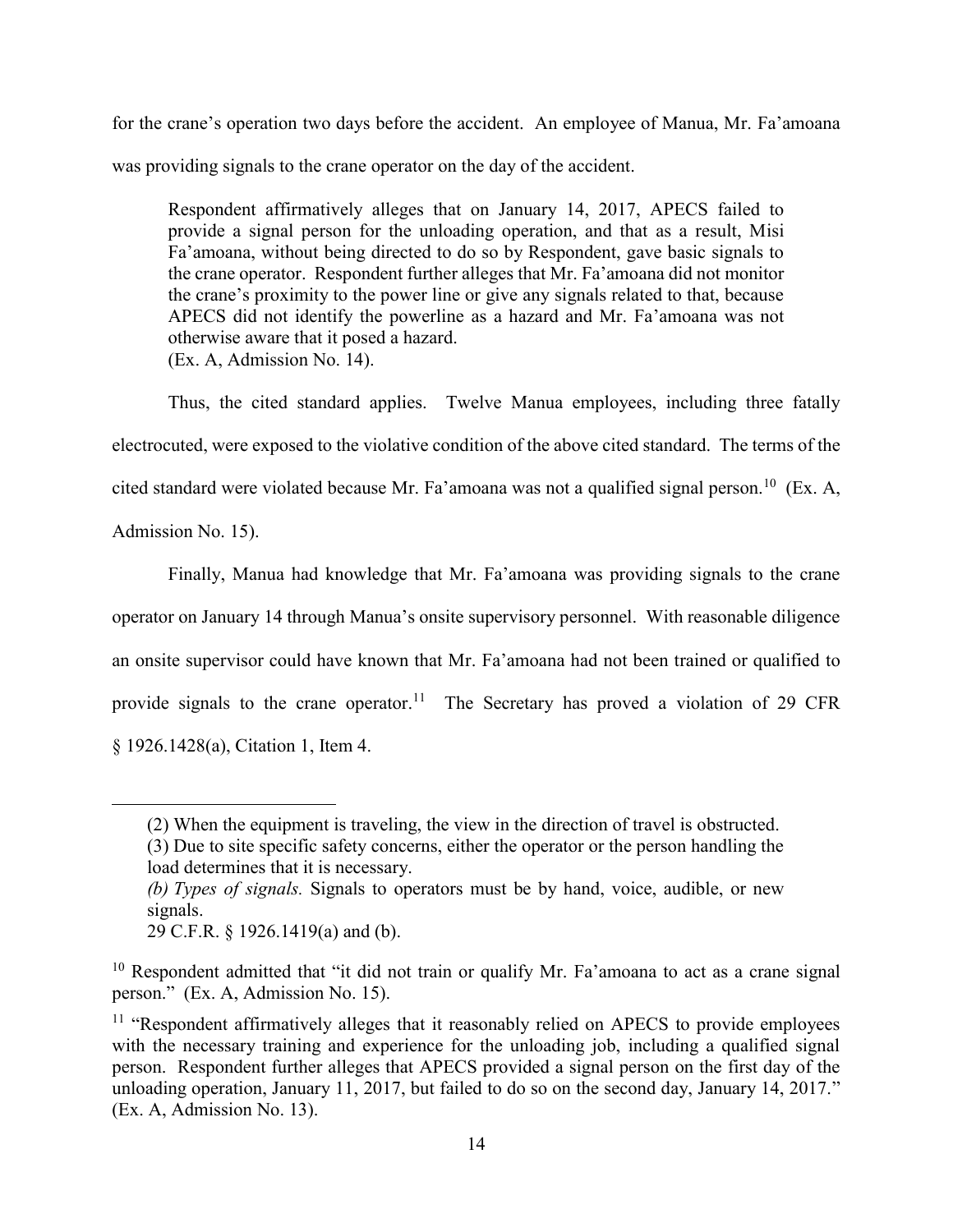for the crane's operation two days before the accident. An employee of Manua, Mr. Fa'amoana was providing signals to the crane operator on the day of the accident.

Respondent affirmatively alleges that on January 14, 2017, APECS failed to provide a signal person for the unloading operation, and that as a result, Misi Fa'amoana, without being directed to do so by Respondent, gave basic signals to the crane operator. Respondent further alleges that Mr. Fa'amoana did not monitor the crane's proximity to the power line or give any signals related to that, because APECS did not identify the powerline as a hazard and Mr. Fa'amoana was not otherwise aware that it posed a hazard. (Ex. A, Admission No. 14).

Thus, the cited standard applies. Twelve Manua employees, including three fatally electrocuted, were exposed to the violative condition of the above cited standard. The terms of the cited standard were violated because Mr. Fa'amoana was not a qualified signal person.<sup>10</sup> (Ex. A, Admission No. 15).

Finally, Manua had knowledge that Mr. Fa'amoana was providing signals to the crane operator on January 14 through Manua's onsite supervisory personnel. With reasonable diligence an onsite supervisor could have known that Mr. Fa'amoana had not been trained or qualified to provide signals to the crane operator.<sup>11</sup> The Secretary has proved a violation of 29 CFR § 1926.1428(a), Citation 1, Item 4.

load determines that it is necessary.

<sup>(2)</sup> When the equipment is traveling, the view in the direction of travel is obstructed. (3) Due to site specific safety concerns, either the operator or the person handling the

*<sup>(</sup>b) Types of signals.* Signals to operators must be by hand, voice, audible, or new signals.

<sup>29</sup> C.F.R. § 1926.1419(a) and (b).

 $10$  Respondent admitted that "it did not train or qualify Mr. Fa'amoana to act as a crane signal person." (Ex. A, Admission No. 15).

<sup>&</sup>lt;sup>11</sup> "Respondent affirmatively alleges that it reasonably relied on APECS to provide employees with the necessary training and experience for the unloading job, including a qualified signal person. Respondent further alleges that APECS provided a signal person on the first day of the unloading operation, January 11, 2017, but failed to do so on the second day, January 14, 2017." (Ex. A, Admission No. 13).